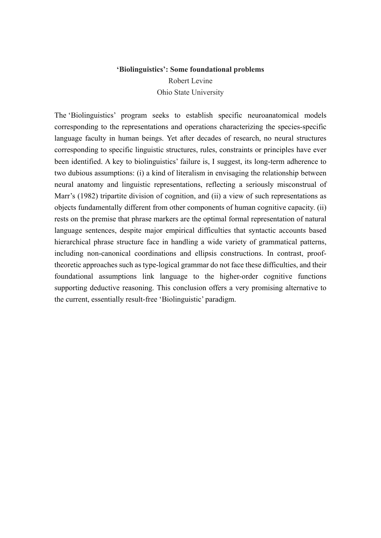# **'Biolinguistics': Some foundational problems**  Robert Levine Ohio State University

The 'Biolinguistics' program seeks to establish specific neuroanatomical models corresponding to the representations and operations characterizing the species-specific language faculty in human beings. Yet after decades of research, no neural structures corresponding to specific linguistic structures, rules, constraints or principles have ever been identified. A key to biolinguistics' failure is, I suggest, its long-term adherence to two dubious assumptions: (i) a kind of literalism in envisaging the relationship between neural anatomy and linguistic representations, reflecting a seriously misconstrual of Marr's (1982) tripartite division of cognition, and (ii) a view of such representations as objects fundamentally different from other components of human cognitive capacity. (ii) rests on the premise that phrase markers are the optimal formal representation of natural language sentences, despite major empirical difficulties that syntactic accounts based hierarchical phrase structure face in handling a wide variety of grammatical patterns, including non-canonical coordinations and ellipsis constructions. In contrast, prooftheoretic approaches such as type-logical grammar do not face these difficulties, and their foundational assumptions link language to the higher-order cognitive functions supporting deductive reasoning. This conclusion offers a very promising alternative to the current, essentially result-free 'Biolinguistic' paradigm.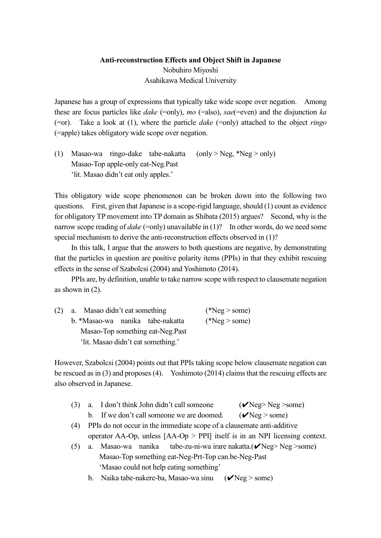# **Anti-reconstruction Effects and Object Shift in Japanese** Nobuhiro Miyoshi Asahikawa Medical University

Japanese has a group of expressions that typically take wide scope over negation. Among these are focus particles like *dake* (=only), *mo* (=also), *sae*(=even) and the disjunction *ka* (=or). Take a look at (1), where the particle *dake* (=only) attached to the object *ringo* (=apple) takes obligatory wide scope over negation.

(1) Masao-wa ringo-dake tabe-nakatta  $(only > Neg, *Neg > only)$ Masao-Top apple-only eat-Neg.Past 'lit. Masao didn't eat only apples.'

This obligatory wide scope phenomenon can be broken down into the following two questions. First, given that Japanese is a scope-rigid language, should (1) count as evidence for obligatory TP movement into TP domain as Shibata (2015) argues? Second, why is the narrow scope reading of *dake* (=only) unavailable in (1)? In other words, do we need some special mechanism to derive the anti-reconstruction effects observed in (1)?

In this talk, I argue that the answers to both questions are negative, by demonstrating that the particles in question are positive polarity items (PPIs) in that they exhibit rescuing effects in the sense of Szabolcsi (2004) and Yoshimoto (2014).

PPIs are, by definition, unable to take narrow scope with respect to clausemate negation as shown in (2).

| (2) | a. Masao didn't eat something      | $(*Neg > some)$ |
|-----|------------------------------------|-----------------|
|     | b. *Masao-wa nanika tabe-nakatta   | $(*Neg > some)$ |
|     | Masao-Top something eat-Neg.Past   |                 |
|     | 'lit. Masao didn't eat something.' |                 |

However, Szabolcsi (2004) points out that PPIs taking scope below clausemate negation can be rescued as in (3) and proposes (4). Yoshimoto (2014) claims that the rescuing effects are also observed in Japanese.

- (3) a. I don't think John didn't call someone  $(\mathbf{V}$ Neg> Neg >some) b. If we don't call someone we are doomed.  $(\mathbf{V}Neg > some)$
- (4) PPIs do not occur in the immediate scope of a clausemate anti-additive operator AA-Op, unless [AA-Op > PPI] itself is in an NPI licensing context.
- (5) a. Masao-wa nanika tabe-zu-ni-wa irare nakatta. $(\mathbf{v}'Neg>Neg>some)$  Masao-Top something eat-Neg-Prt-Top can.be-Neg-Past 'Masao could not help eating something'
	- b. Naika tabe-nakere-ba, Masao-wa sinu  $(\mathcal{V}$ Neg > some)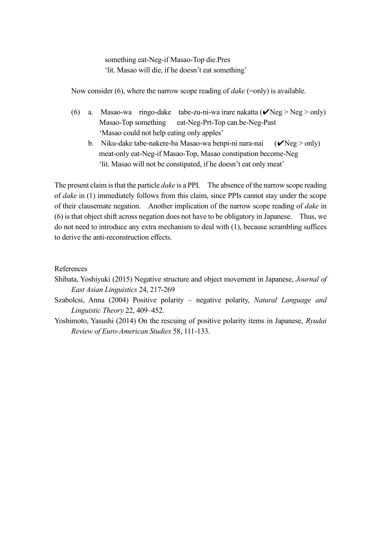something eat-Neg-if Masao-Top die.Pres 'lit. Masao will die, if he doesn't eat something'

Now consider (6), where the narrow scope reading of *dake* (=only) is available.

- (6) a. Masao-wa ringo-dake tabe-zu-ni-wa irare nakatta  $(\mathbf{v}'Neg > Neg > only)$  Masao-Top something eat-Neg-Prt-Top can.be-Neg-Past 'Masao could not help eating only apples'
	- b. Niku-dake tabe-nakere-ba Masao-wa benpi-ni nara-nai  $(\mathcal{V}$ Neg > only) meat-only eat-Neg-if Masao-Top, Masao constipation become-Neg 'lit. Masao will not be constipated, if he doesn't eat only meat'

The present claim is that the particle *dake* is a PPI. The absence of the narrow scope reading of *dake* in (1) immediately follows from this claim, since PPIs cannot stay under the scope of their clausemate negation. Another implication of the narrow scope reading of *dake* in (6) is that object shift across negation does not have to be obligatory in Japanese. Thus, we do not need to introduce any extra mechanism to deal with (1), because scrambling suffices to derive the anti-reconstruction effects.

### References

- Shibata, Yoshiyuki (2015) Negative structure and object movement in Japanese, *Journal of East Asian Linguistics* 24, 217-269
- Szabolcsi, Anna (2004) Positive polarity negative polarity, *Natural Language and Linguistic Theory* 22, 409–452.
- Yoshimoto, Yasushi (2014) On the rescuing of positive polarity items in Japanese, *Ryudai Review of Euro-American Studies* 58, 111-133.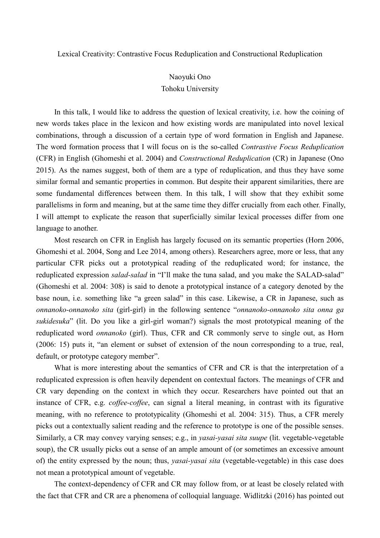Lexical Creativity: Contrastive Focus Reduplication and Constructional Reduplication

# Naoyuki Ono Tohoku University

In this talk, I would like to address the question of lexical creativity, i.e. how the coining of new words takes place in the lexicon and how existing words are manipulated into novel lexical combinations, through a discussion of a certain type of word formation in English and Japanese. The word formation process that I will focus on is the so-called *Contrastive Focus Reduplication* (CFR) in English (Ghomeshi et al. 2004) and *Constructional Reduplication* (CR) in Japanese (Ono 2015). As the names suggest, both of them are a type of reduplication, and thus they have some similar formal and semantic properties in common. But despite their apparent similarities, there are some fundamental differences between them. In this talk, I will show that they exhibit some parallelisms in form and meaning, but at the same time they differ crucially from each other. Finally, I will attempt to explicate the reason that superficially similar lexical processes differ from one language to another.

Most research on CFR in English has largely focused on its semantic properties (Horn 2006, Ghomeshi et al. 2004, Song and Lee 2014, among others). Researchers agree, more or less, that any particular CFR picks out a prototypical reading of the reduplicated word; for instance, the reduplicated expression *salad-salad* in "I'll make the tuna salad, and you make the SALAD-salad" (Ghomeshi et al. 2004: 308) is said to denote a prototypical instance of a category denoted by the base noun, i.e. something like "a green salad" in this case. Likewise, a CR in Japanese, such as *onnanoko-onnanoko sita* (girl-girl) in the following sentence "*onnanoko-onnanoko sita onna ga sukidesuka*" (lit. Do you like a girl-girl woman?) signals the most prototypical meaning of the reduplicated word *onnanoko* (girl). Thus, CFR and CR commonly serve to single out, as Horn (2006: 15) puts it, "an element or subset of extension of the noun corresponding to a true, real, default, or prototype category member".

What is more interesting about the semantics of CFR and CR is that the interpretation of a reduplicated expression is often heavily dependent on contextual factors. The meanings of CFR and CR vary depending on the context in which they occur. Researchers have pointed out that an instance of CFR, e.g. *coffee-coffee*, can signal a literal meaning, in contrast with its figurative meaning, with no reference to prototypicality (Ghomeshi et al. 2004: 315). Thus, a CFR merely picks out a contextually salient reading and the reference to prototype is one of the possible senses. Similarly, a CR may convey varying senses; e.g., in *yasai-yasai sita suupe* (lit. vegetable-vegetable soup), the CR usually picks out a sense of an ample amount of (or sometimes an excessive amount of) the entity expressed by the noun; thus, *yasai-yasai sita* (vegetable-vegetable) in this case does not mean a prototypical amount of vegetable.

The context-dependency of CFR and CR may follow from, or at least be closely related with the fact that CFR and CR are a phenomena of colloquial language. Widlitzki (2016) has pointed out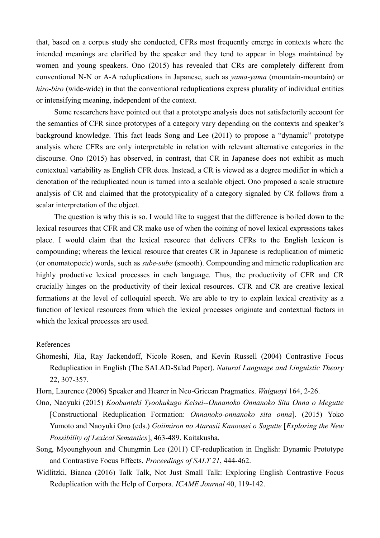that, based on a corpus study she conducted, CFRs most frequently emerge in contexts where the intended meanings are clarified by the speaker and they tend to appear in blogs maintained by women and young speakers. Ono (2015) has revealed that CRs are completely different from conventional N-N or A-A reduplications in Japanese, such as *yama-yama* (mountain-mountain) or *hiro-biro* (wide-wide) in that the conventional reduplications express plurality of individual entities or intensifying meaning, independent of the context.

Some researchers have pointed out that a prototype analysis does not satisfactorily account for the semantics of CFR since prototypes of a category vary depending on the contexts and speaker's background knowledge. This fact leads Song and Lee (2011) to propose a "dynamic" prototype analysis where CFRs are only interpretable in relation with relevant alternative categories in the discourse. Ono (2015) has observed, in contrast, that CR in Japanese does not exhibit as much contextual variability as English CFR does. Instead, a CR is viewed as a degree modifier in which a denotation of the reduplicated noun is turned into a scalable object. Ono proposed a scale structure analysis of CR and claimed that the prototypicality of a category signaled by CR follows from a scalar interpretation of the object.

The question is why this is so. I would like to suggest that the difference is boiled down to the lexical resources that CFR and CR make use of when the coining of novel lexical expressions takes place. I would claim that the lexical resource that delivers CFRs to the English lexicon is compounding; whereas the lexical resource that creates CR in Japanese is reduplication of mimetic (or onomatopoeic) words, such as *sube-sube* (smooth). Compounding and mimetic reduplication are highly productive lexical processes in each language. Thus, the productivity of CFR and CR crucially hinges on the productivity of their lexical resources. CFR and CR are creative lexical formations at the level of colloquial speech. We are able to try to explain lexical creativity as a function of lexical resources from which the lexical processes originate and contextual factors in which the lexical processes are used.

#### References

Ghomeshi, Jila, Ray Jackendoff, Nicole Rosen, and Kevin Russell (2004) Contrastive Focus Reduplication in English (The SALAD-Salad Paper). *Natural Language and Linguistic Theory* 22, 307-357.

Horn, Laurence (2006) Speaker and Hearer in Neo-Gricean Pragmatics. *Waiguoyi* 164, 2-26.

- Ono, Naoyuki (2015) *Koobunteki Tyoohukugo Keisei--Onnanoko Onnanoko Sita Onna o Megutte* [Constructional Reduplication Formation: *Onnanoko-onnanoko sita onna*]. (2015) Yoko Yumoto and Naoyuki Ono (eds.) *Goiimiron no Atarasii Kanoosei o Sagutte* [*Exploring the New Possibility of Lexical Semantics*], 463-489. Kaitakusha.
- Song, Myounghyoun and Chungmin Lee (2011) CF-reduplication in English: Dynamic Prototype and Contrastive Focus Effects. *Proceedings of SALT 21*, 444-462.
- Widlitzki, Bianca (2016) Talk Talk, Not Just Small Talk: Exploring English Contrastive Focus Reduplication with the Help of Corpora. *ICAME Journal* 40, 119-142.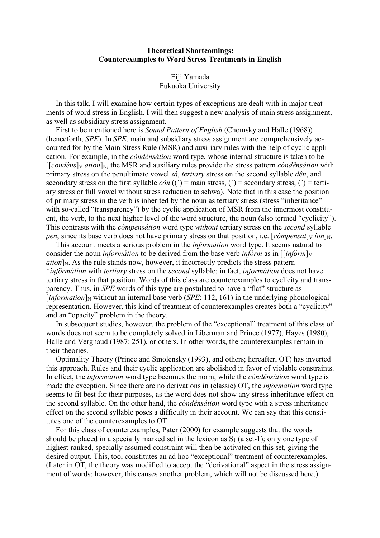### **Theoretical Shortcomings: Counterexamples to Word Stress Treatments in English**

#### Eiji Yamada Fukuoka University

 In this talk, I will examine how certain types of exceptions are dealt with in major treatments of word stress in English. I will then suggest a new analysis of main stress assignment, as well as subsidiary stress assignment.

 First to be mentioned here is *Sound Pattern of English* (Chomsky and Halle (1968)) (henceforth, *SPE*). In *SPE*, main and subsidiary stress assignment are comprehensively accounted for by the Main Stress Rule (MSR) and auxiliary rules with the help of cyclic application. For example, in the *còndênsátion* word type, whose internal structure is taken to be  $[$ [*condéns*] $\sqrt{$  *ation*] $\sqrt{N}$ , the MSR and auxiliary rules provide the stress pattern *còndênsátion* with primary stress on the penultimate vowel *sá*, *tertiary* stress on the second syllable *dên*, and secondary stress on the first syllable  $\dot{con}$  ((') = main stress, (') = secondary stress, (') = tertiary stress or full vowel without stress reduction to schwa). Note that in this case the position of primary stress in the verb is inherited by the noun as tertiary stress (stress "inheritance" with so-called "transparency") by the cyclic application of MSR from the innermost constituent, the verb, to the next higher level of the word structure, the noun (also termed "cyclicity"). This contrasts with the *còmpensátion* word type *without* tertiary stress on the *second* syllable *pen*, since its base verb does not have primary stress on that position, i.e.  $[c{\phi}m{\phi}n{\phi}n]_N$ .

 This account meets a serious problem in the *ìnformátion* word type. It seems natural to consider the noun *informátion* to be derived from the base verb *infórm* as in [[*infórm*]<sub>V</sub>  $a$ *tion* $\vert$ <sub>N</sub>. As the rule stands now, however, it incorrectly predicts the stress pattern \**ìnfôrmátion* with *tertiary* stress on the *second* syllable; in fact, *ìnformátion* does not have tertiary stress in that position. Words of this class are counterexamples to cyclicity and transparency. Thus, in *SPE* words of this type are postulated to have a "flat" structure as  $[information]_N$  without an internal base verb (*SPE*: 112, 161) in the underlying phonological representation. However, this kind of treatment of counterexamples creates both a "cyclicity" and an "opacity" problem in the theory.

 In subsequent studies, however, the problem of the "exceptional" treatment of this class of words does not seem to be completely solved in Liberman and Prince (1977), Hayes (1980), Halle and Vergnaud (1987: 251), or others. In other words, the counterexamples remain in their theories.

 Optimality Theory (Prince and Smolensky (1993), and others; hereafter, OT) has inverted this approach. Rules and their cyclic application are abolished in favor of violable constraints. In effect, the *ìnformátion* word type becomes the norm, while the *còndênsátion* word type is made the exception. Since there are no derivations in (classic) OT, the *ìnformátion* word type seems to fit best for their purposes, as the word does not show any stress inheritance effect on the second syllable. On the other hand, the *còndênsátion* word type with a stress inheritance effect on the second syllable poses a difficulty in their account. We can say that this constitutes one of the counterexamples to OT.

 For this class of counterexamples, Pater (2000) for example suggests that the words should be placed in a specially marked set in the lexicon as  $S_1$  (a set-1); only one type of highest-ranked, specially assumed constraint will then be activated on this set, giving the desired output. This, too, constitutes an ad hoc "exceptional" treatment of counterexamples. (Later in OT, the theory was modified to accept the "derivational" aspect in the stress assignment of words; however, this causes another problem, which will not be discussed here.)